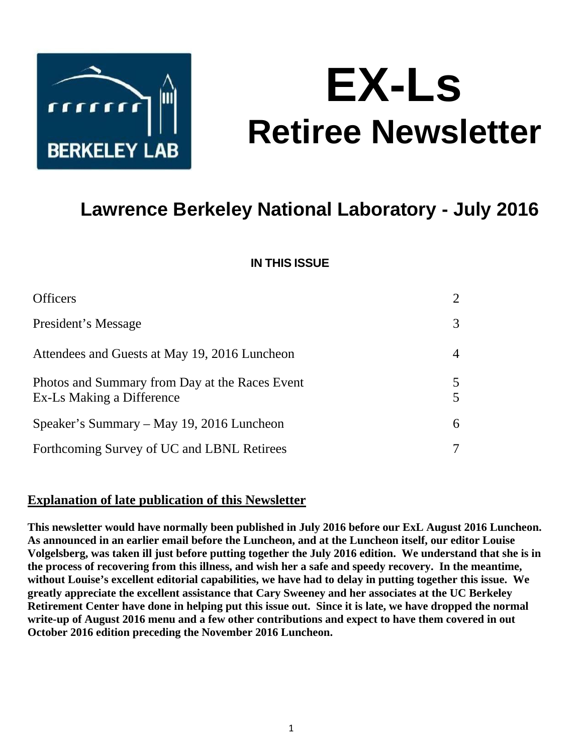

# **EX-Ls Retiree Newsletter**

# **Lawrence Berkeley National Laboratory - July 2016**

### **IN THIS ISSUE**

| <b>Officers</b>                                                             | 2      |
|-----------------------------------------------------------------------------|--------|
| President's Message                                                         | 3      |
| Attendees and Guests at May 19, 2016 Luncheon                               | 4      |
| Photos and Summary from Day at the Races Event<br>Ex-Ls Making a Difference | 5<br>5 |
| Speaker's Summary – May 19, 2016 Luncheon                                   | 6      |
| Forthcoming Survey of UC and LBNL Retirees                                  |        |

#### **Explanation of late publication of this Newsletter**

**This newsletter would have normally been published in July 2016 before our ExL August 2016 Luncheon. As announced in an earlier email before the Luncheon, and at the Luncheon itself, our editor Louise Volgelsberg, was taken ill just before putting together the July 2016 edition. We understand that she is in the process of recovering from this illness, and wish her a safe and speedy recovery. In the meantime, without Louise's excellent editorial capabilities, we have had to delay in putting together this issue. We greatly appreciate the excellent assistance that Cary Sweeney and her associates at the UC Berkeley Retirement Center have done in helping put this issue out. Since it is late, we have dropped the normal write-up of August 2016 menu and a few other contributions and expect to have them covered in out October 2016 edition preceding the November 2016 Luncheon.**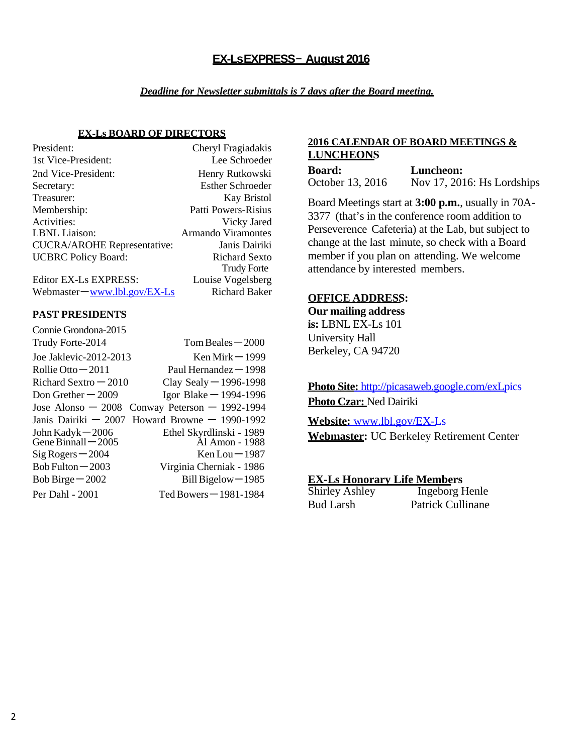#### **EX-Ls EXPRESS** – **August 2016**

#### *Deadline for Newsletter submittals is 7 days after the Board meeting.*

#### **EX-Ls BOARD OF DIRECTORS**

| President:                         | Cheryl Fragiadakis        |
|------------------------------------|---------------------------|
| 1st Vice-President:                | Lee Schroeder             |
| 2nd Vice-President:                | Henry Rutkowski           |
| Secretary:                         | <b>Esther Schroeder</b>   |
| Treasurer:                         | <b>Kay Bristol</b>        |
| Membership:                        | Patti Powers-Risius       |
| Activities:                        | Vicky Jared               |
| <b>LBNL</b> Liaison:               | <b>Armando Viramontes</b> |
| <b>CUCRA/AROHE Representative:</b> | Janis Dairiki             |
| <b>UCBRC</b> Policy Board:         | <b>Richard Sexto</b>      |
|                                    | <b>Trudy Forte</b>        |
| Editor EX-Ls EXPRESS:              | Louise Vogelsberg         |

Webmaster – www.lbl.gov/EX-Ls Richard Baker

#### **PAST PRESIDENTS**

| Connie Grondona-2015                       |                                                  |
|--------------------------------------------|--------------------------------------------------|
| Trudy Forte-2014                           | $Tom$ Beales $-2000$                             |
| Joe Jaklevic-2012-2013                     | Ken Mirk $-1999$                                 |
| Rollie Otto $-2011$                        | Paul Hernandez $-1998$                           |
| Richard Sextro $-2010$                     | Clay Sealy $-$ 1996-1998                         |
| Don Grether $-2009$                        | Igor Blake $-$ 1994-1996                         |
| Jose Alonso $-2008$                        | Conway Peterson $-$ 1992-1994                    |
|                                            | Janis Dairiki $-2007$ Howard Browne $-1990-1992$ |
| John Kadyk $-2006$<br>Gene Binnall $-2005$ | Ethel Skyrdlinski - 1989<br>Ål Amon - 1988       |
| $Sig Rogers - 2004$                        | $Ken Lou - 1987$                                 |
| Bob Fulton $-2003$                         | Virginia Cherniak - 1986                         |
| Bob Birge $-2002$                          | Bill Bigelow-1985                                |
| Per Dahl - 2001                            | Ted Bowers $-1981-1984$                          |

#### **2016 CALENDAR OF BOARD MEETINGS & LUNCHEONS**

| <b>Board:</b>    | Luncheon:                     |
|------------------|-------------------------------|
| October 13, 2016 | Nov $17, 2016$ : Hs Lordships |

Board Meetings start at **3:00 p.m.**, usually in 70A-3377 (that's in the conference room addition to Perseverence Cafeteria) at the Lab, but subject to change at the last minute, so check with a Board member if you plan on attending. We welcome attendance by interested members.

#### **OFFICE ADDRESS:**

**Our mailing address is:** LBNL EX-Ls 101 University Hall Berkeley, CA 94720

**Photo Site:** http://picasaweb.google.com/exLpics **Photo Czar:** Ned Dairiki

**Website:** www.lbl.gov/EX-Ls

**Webmaster:** UC Berkeley Retirement Center

**EX-Ls Honorary Life Members**

| Shirley Ashley |  |
|----------------|--|
| 3ud Larsh      |  |

Ingeborg Henle Bud Larsh Patrick Cullinane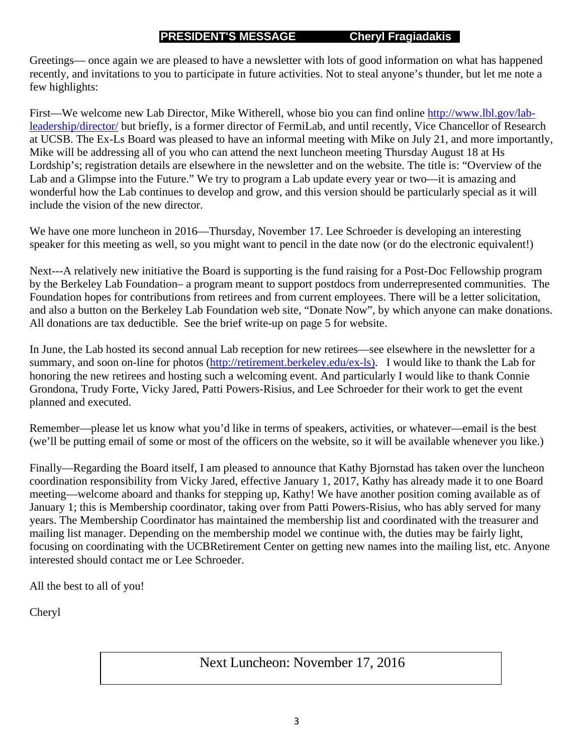#### **PRESIDENT'S MESSAGE Cheryl Fragiadakis**

Greetings— once again we are pleased to have a newsletter with lots of good information on what has happened recently, and invitations to you to participate in future activities. Not to steal anyone's thunder, but let me note a few highlights:

First—We welcome new Lab Director, Mike Witherell, whose bio you can find online http://www.lbl.gov/lableadership/director/ but briefly, is a former director of FermiLab, and until recently, Vice Chancellor of Research at UCSB. The Ex-Ls Board was pleased to have an informal meeting with Mike on July 21, and more importantly, Mike will be addressing all of you who can attend the next luncheon meeting Thursday August 18 at Hs Lordship's; registration details are elsewhere in the newsletter and on the website. The title is: "Overview of the Lab and a Glimpse into the Future." We try to program a Lab update every year or two—it is amazing and wonderful how the Lab continues to develop and grow, and this version should be particularly special as it will include the vision of the new director.

We have one more luncheon in 2016—Thursday, November 17. Lee Schroeder is developing an interesting speaker for this meeting as well, so you might want to pencil in the date now (or do the electronic equivalent!)

Next---A relatively new initiative the Board is supporting is the fund raising for a Post-Doc Fellowship program by the Berkeley Lab Foundation– a program meant to support postdocs from underrepresented communities. The Foundation hopes for contributions from retirees and from current employees. There will be a letter solicitation, and also a button on the Berkeley Lab Foundation web site, "Donate Now", by which anyone can make donations. All donations are tax deductible. See the brief write-up on page 5 for website.

In June, the Lab hosted its second annual Lab reception for new retirees—see elsewhere in the newsletter for a summary, and soon on-line for photos (http://retirement.berkeley.edu/ex-ls). I would like to thank the Lab for honoring the new retirees and hosting such a welcoming event. And particularly I would like to thank Connie Grondona, Trudy Forte, Vicky Jared, Patti Powers-Risius, and Lee Schroeder for their work to get the event planned and executed.

Remember—please let us know what you'd like in terms of speakers, activities, or whatever—email is the best (we'll be putting email of some or most of the officers on the website, so it will be available whenever you like.)

Finally—Regarding the Board itself, I am pleased to announce that Kathy Bjornstad has taken over the luncheon coordination responsibility from Vicky Jared, effective January 1, 2017, Kathy has already made it to one Board meeting—welcome aboard and thanks for stepping up, Kathy! We have another position coming available as of January 1; this is Membership coordinator, taking over from Patti Powers-Risius, who has ably served for many years. The Membership Coordinator has maintained the membership list and coordinated with the treasurer and mailing list manager. Depending on the membership model we continue with, the duties may be fairly light, focusing on coordinating with the UCBRetirement Center on getting new names into the mailing list, etc. Anyone interested should contact me or Lee Schroeder.

All the best to all of you!

Cheryl

Next Luncheon: November 17, 2016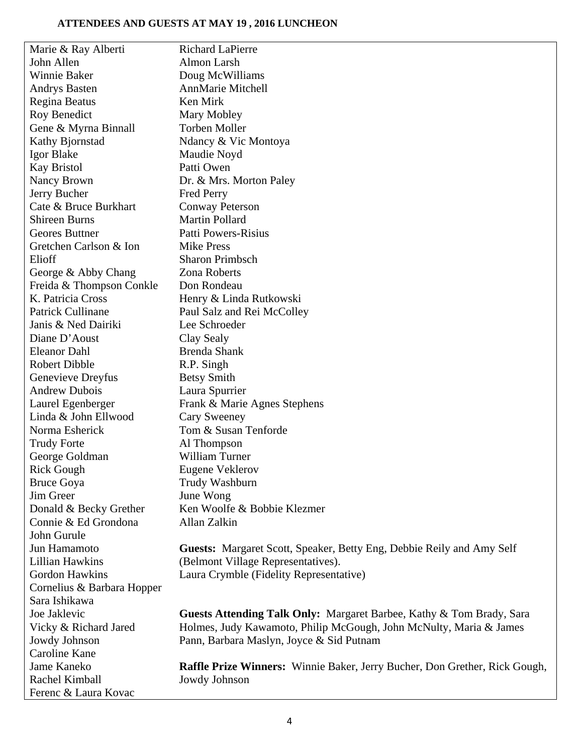#### **ATTENDEES AND GUESTS AT MAY 19 , 2016 LUNCHEON**

| Marie & Ray Alberti        | <b>Richard LaPierre</b>                                                           |
|----------------------------|-----------------------------------------------------------------------------------|
| John Allen                 | Almon Larsh                                                                       |
| Winnie Baker               | Doug McWilliams                                                                   |
| <b>Andrys Basten</b>       | <b>AnnMarie Mitchell</b>                                                          |
| Regina Beatus              | Ken Mirk                                                                          |
| Roy Benedict               | Mary Mobley                                                                       |
| Gene & Myrna Binnall       | <b>Torben Moller</b>                                                              |
| Kathy Bjornstad            | Ndancy & Vic Montoya                                                              |
| Igor Blake                 | Maudie Noyd                                                                       |
| <b>Kay Bristol</b>         | Patti Owen                                                                        |
| Nancy Brown                | Dr. & Mrs. Morton Paley                                                           |
| Jerry Bucher               | <b>Fred Perry</b>                                                                 |
| Cate & Bruce Burkhart      | <b>Conway Peterson</b>                                                            |
| <b>Shireen Burns</b>       | <b>Martin Pollard</b>                                                             |
| Geores Buttner             | <b>Patti Powers-Risius</b>                                                        |
| Gretchen Carlson & Ion     | <b>Mike Press</b>                                                                 |
| Elioff                     | <b>Sharon Primbsch</b>                                                            |
| George & Abby Chang        | Zona Roberts                                                                      |
| Freida & Thompson Conkle   | Don Rondeau                                                                       |
| K. Patricia Cross          | Henry & Linda Rutkowski                                                           |
| Patrick Cullinane          | Paul Salz and Rei McColley                                                        |
| Janis & Ned Dairiki        | Lee Schroeder                                                                     |
| Diane D'Aoust              | Clay Sealy                                                                        |
| <b>Eleanor Dahl</b>        | <b>Brenda Shank</b>                                                               |
| Robert Dibble              | R.P. Singh                                                                        |
| Genevieve Dreyfus          | <b>Betsy Smith</b>                                                                |
| <b>Andrew Dubois</b>       | Laura Spurrier                                                                    |
| Laurel Egenberger          | Frank & Marie Agnes Stephens                                                      |
| Linda & John Ellwood       | Cary Sweeney                                                                      |
| Norma Esherick             | Tom & Susan Tenforde                                                              |
| <b>Trudy Forte</b>         | Al Thompson                                                                       |
| George Goldman             | <b>William Turner</b>                                                             |
| Rick Gough                 | <b>Eugene Veklerov</b>                                                            |
| <b>Bruce Goya</b>          | Trudy Washburn                                                                    |
| Jim Greer                  | June Wong                                                                         |
| Donald & Becky Grether     | Ken Woolfe & Bobbie Klezmer                                                       |
| Connie & Ed Grondona       | Allan Zalkin                                                                      |
| John Gurule                |                                                                                   |
| Jun Hamamoto               | Guests: Margaret Scott, Speaker, Betty Eng, Debbie Reily and Amy Self             |
| <b>Lillian Hawkins</b>     | (Belmont Village Representatives).                                                |
| Gordon Hawkins             | Laura Crymble (Fidelity Representative)                                           |
| Cornelius & Barbara Hopper |                                                                                   |
| Sara Ishikawa              |                                                                                   |
| Joe Jaklevic               | Guests Attending Talk Only: Margaret Barbee, Kathy & Tom Brady, Sara              |
| Vicky & Richard Jared      | Holmes, Judy Kawamoto, Philip McGough, John McNulty, Maria & James                |
| Jowdy Johnson              | Pann, Barbara Maslyn, Joyce & Sid Putnam                                          |
| Caroline Kane              |                                                                                   |
| Jame Kaneko                | <b>Raffle Prize Winners:</b> Winnie Baker, Jerry Bucher, Don Grether, Rick Gough, |
| Rachel Kimball             | Jowdy Johnson                                                                     |
| Ferenc & Laura Kovac       |                                                                                   |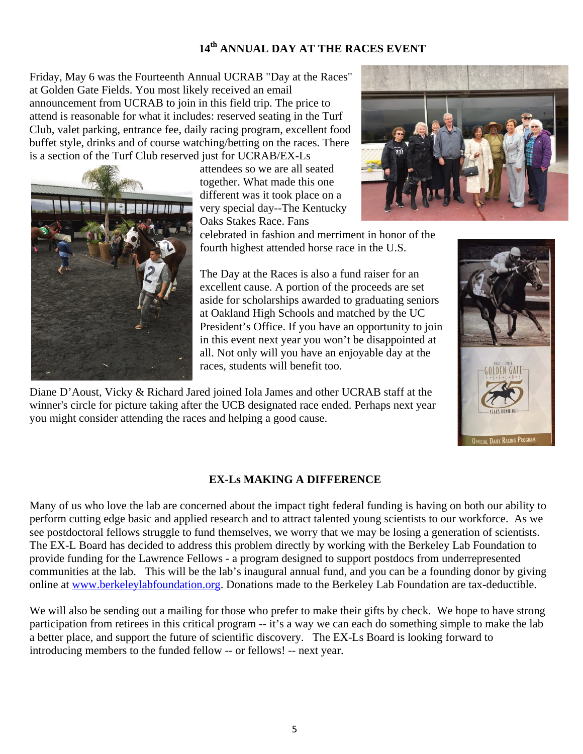## **14th ANNUAL DAY AT THE RACES EVENT**

Friday, May 6 was the Fourteenth Annual UCRAB "Day at the Races" at Golden Gate Fields. You most likely received an email announcement from UCRAB to join in this field trip. The price to attend is reasonable for what it includes: reserved seating in the Turf Club, valet parking, entrance fee, daily racing program, excellent food buffet style, drinks and of course watching/betting on the races. There is a section of the Turf Club reserved just for UCRAB/EX-Ls



attendees so we are all seated together. What made this one different was it took place on a very special day--The Kentucky Oaks Stakes Race. Fans



celebrated in fashion and merriment in honor of the fourth highest attended horse race in the U.S.

The Day at the Races is also a fund raiser for an excellent cause. A portion of the proceeds are set aside for scholarships awarded to graduating seniors at Oakland High Schools and matched by the UC President's Office. If you have an opportunity to join in this event next year you won't be disappointed at all. Not only will you have an enjoyable day at the races, students will benefit too.

Diane D'Aoust, Vicky & Richard Jared joined Iola James and other UCRAB staff at the winner's circle for picture taking after the UCB designated race ended. Perhaps next year you might consider attending the races and helping a good cause.



#### **EX-Ls MAKING A DIFFERENCE**

Many of us who love the lab are concerned about the impact tight federal funding is having on both our ability to perform cutting edge basic and applied research and to attract talented young scientists to our workforce. As we see postdoctoral fellows struggle to fund themselves, we worry that we may be losing a generation of scientists. The EX-L Board has decided to address this problem directly by working with the Berkeley Lab Foundation to provide funding for the Lawrence Fellows - a program designed to support postdocs from underrepresented communities at the lab. This will be the lab's inaugural annual fund, and you can be a founding donor by giving online at www.berkeleylabfoundation.org. Donations made to the Berkeley Lab Foundation are tax-deductible.

We will also be sending out a mailing for those who prefer to make their gifts by check. We hope to have strong participation from retirees in this critical program -- it's a way we can each do something simple to make the lab a better place, and support the future of scientific discovery. The EX-Ls Board is looking forward to introducing members to the funded fellow -- or fellows! -- next year.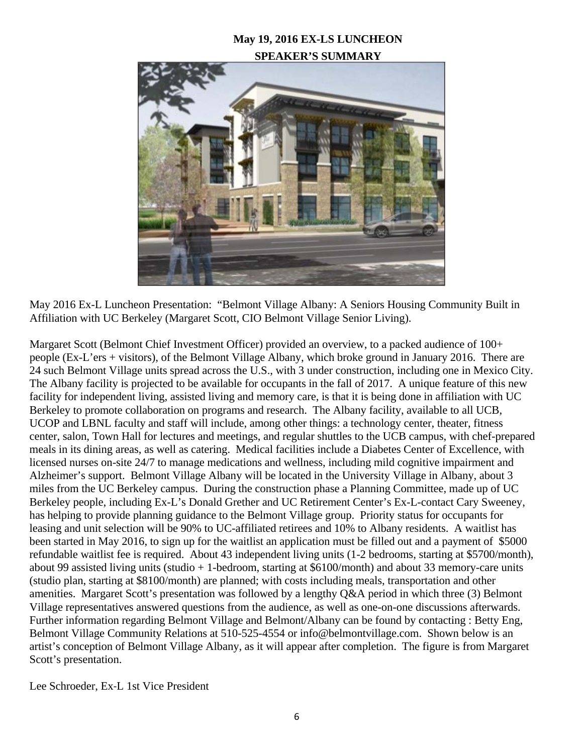#### **May 19, 2016 EX-LS LUNCHEON SPEAKER'S SUMMARY**



May 2016 Ex-L Luncheon Presentation: "Belmont Village Albany: A Seniors Housing Community Built in Affiliation with UC Berkeley (Margaret Scott, CIO Belmont Village Senior Living).

Margaret Scott (Belmont Chief Investment Officer) provided an overview, to a packed audience of 100+ people (Ex-L'ers + visitors), of the Belmont Village Albany, which broke ground in January 2016. There are 24 such Belmont Village units spread across the U.S., with 3 under construction, including one in Mexico City. The Albany facility is projected to be available for occupants in the fall of 2017. A unique feature of this new facility for independent living, assisted living and memory care, is that it is being done in affiliation with UC Berkeley to promote collaboration on programs and research. The Albany facility, available to all UCB, UCOP and LBNL faculty and staff will include, among other things: a technology center, theater, fitness center, salon, Town Hall for lectures and meetings, and regular shuttles to the UCB campus, with chef-prepared meals in its dining areas, as well as catering. Medical facilities include a Diabetes Center of Excellence, with licensed nurses on-site 24/7 to manage medications and wellness, including mild cognitive impairment and Alzheimer's support. Belmont Village Albany will be located in the University Village in Albany, about 3 miles from the UC Berkeley campus. During the construction phase a Planning Committee, made up of UC Berkeley people, including Ex-L's Donald Grether and UC Retirement Center's Ex-L-contact Cary Sweeney, has helping to provide planning guidance to the Belmont Village group. Priority status for occupants for leasing and unit selection will be 90% to UC-affiliated retirees and 10% to Albany residents. A waitlist has been started in May 2016, to sign up for the waitlist an application must be filled out and a payment of \$5000 refundable waitlist fee is required. About 43 independent living units (1-2 bedrooms, starting at \$5700/month), about 99 assisted living units (studio + 1-bedroom, starting at \$6100/month) and about 33 memory-care units (studio plan, starting at \$8100/month) are planned; with costs including meals, transportation and other amenities. Margaret Scott's presentation was followed by a lengthy Q&A period in which three (3) Belmont Village representatives answered questions from the audience, as well as one-on-one discussions afterwards. Further information regarding Belmont Village and Belmont/Albany can be found by contacting : Betty Eng, Belmont Village Community Relations at 510-525-4554 or info@belmontvillage.com. Shown below is an artist's conception of Belmont Village Albany, as it will appear after completion. The figure is from Margaret Scott's presentation.

Lee Schroeder, Ex‐L 1st Vice President